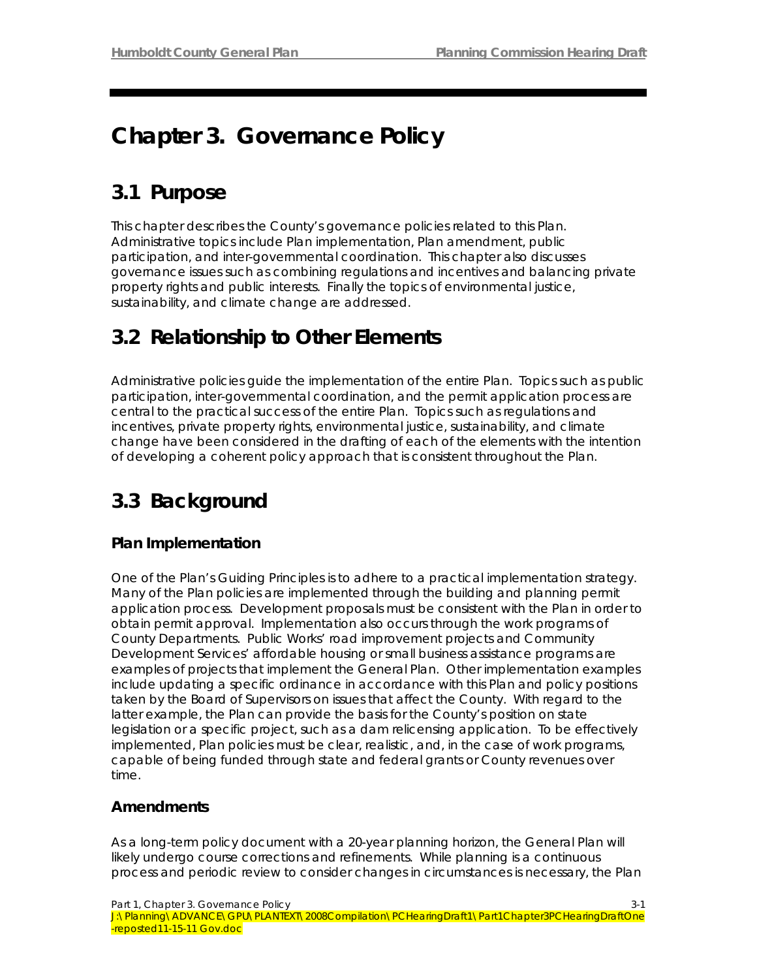# **Chapter 3. Governance Policy**

# **3.1 Purpose**

This chapter describes the County's governance policies related to this Plan. Administrative topics include Plan implementation, Plan amendment, public participation, and inter-governmental coordination. This chapter also discusses governance issues such as combining regulations and incentives and balancing private property rights and public interests. Finally the topics of environmental justice, sustainability, and climate change are addressed.

# **3.2 Relationship to Other Elements**

Administrative policies guide the implementation of the entire Plan. Topics such as public participation, inter-governmental coordination, and the permit application process are central to the practical success of the entire Plan. Topics such as regulations and incentives, private property rights, environmental justice, sustainability, and climate change have been considered in the drafting of each of the elements with the intention of developing a coherent policy approach that is consistent throughout the Plan.

# **3.3 Background**

## **Plan Implementation**

One of the Plan's Guiding Principles is to adhere to a practical implementation strategy. Many of the Plan policies are implemented through the building and planning permit application process. Development proposals must be consistent with the Plan in order to obtain permit approval. Implementation also occurs through the work programs of County Departments. Public Works' road improvement projects and Community Development Services' affordable housing or small business assistance programs are examples of projects that implement the General Plan. Other implementation examples include updating a specific ordinance in accordance with this Plan and policy positions taken by the Board of Supervisors on issues that affect the County. With regard to the latter example, the Plan can provide the basis for the County's position on state legislation or a specific project, such as a dam relicensing application. To be effectively implemented, Plan policies must be clear, realistic, and, in the case of work programs, capable of being funded through state and federal grants or County revenues over time.

## **Amendments**

As a long-term policy document with a 20-year planning horizon, the General Plan will likely undergo course corrections and refinements. While planning is a continuous process and periodic review to consider changes in circumstances is necessary, the Plan

Part 1, Chapter 3. Governance Policy 3-1 and 200 and 3-1 and 3-1 and 3-1 and 3-1 and 3-1 and 3-1 and 3-1 and 3-1 and 3-1 and 3-1 and 3-1 and 3-1 and 3-1 and 3-1 and 3-1 and 3-1 and 3-1 and 3-1 and 3-1 and 3-1 and 3-1 and 3

J:\Planning\ADVANCE\GPU\PLANTEXT\2008Compilation\PCHearingDraft1\Part1Chapter3PCHearingDraftOne -reposted11-15-11 Gov.doc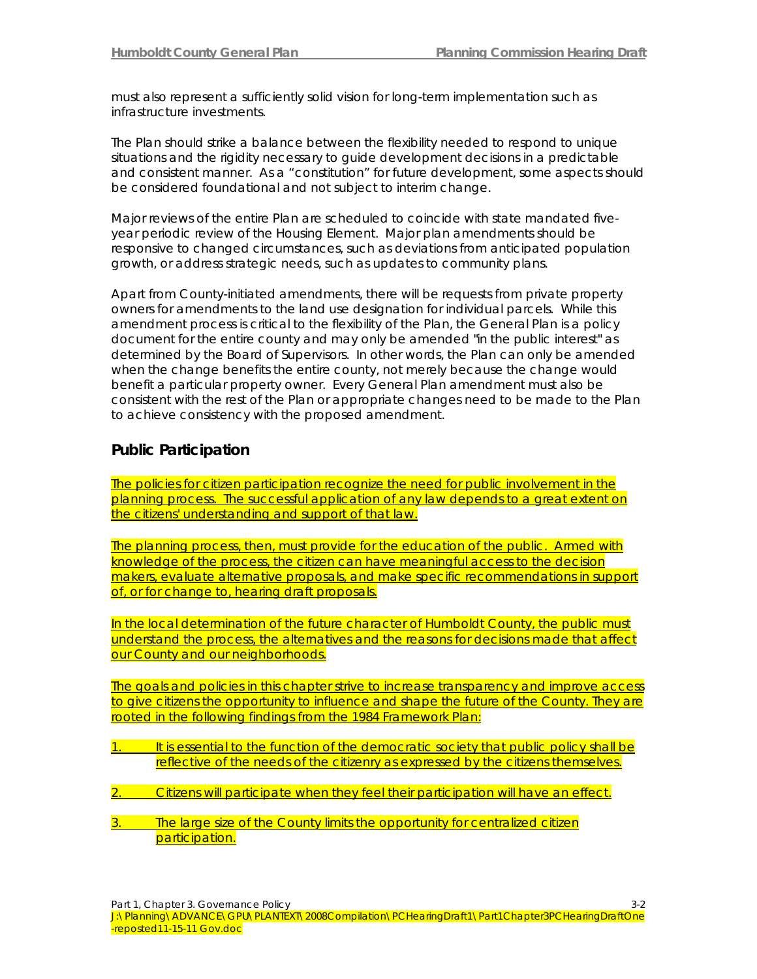must also represent a sufficiently solid vision for long-term implementation such as infrastructure investments.

The Plan should strike a balance between the flexibility needed to respond to unique situations and the rigidity necessary to guide development decisions in a predictable and consistent manner. As a "constitution" for future development, some aspects should be considered foundational and not subject to interim change.

Major reviews of the entire Plan are scheduled to coincide with state mandated fiveyear periodic review of the Housing Element. Major plan amendments should be responsive to changed circumstances, such as deviations from anticipated population growth, or address strategic needs, such as updates to community plans.

Apart from County-initiated amendments, there will be requests from private property owners for amendments to the land use designation for individual parcels. While this amendment process is critical to the flexibility of the Plan, the General Plan is a policy document for the entire county and may only be amended "in the public interest" as determined by the Board of Supervisors. In other words, the Plan can only be amended when the change benefits the entire county, not merely because the change would benefit a particular property owner. Every General Plan amendment must also be consistent with the rest of the Plan or appropriate changes need to be made to the Plan to achieve consistency with the proposed amendment.

### **Public Participation**

The policies for citizen participation recognize the need for public involvement in the planning process. The successful application of any law depends to a great extent on the citizens' understanding and support of that law.

The planning process, then, must provide for the education of the public. Armed with knowledge of the process, the citizen can have meaningful access to the decision makers, evaluate alternative proposals, and make specific recommendations in support of, or for change to, hearing draft proposals.

In the local determination of the future character of Humboldt County, the public must understand the process, the alternatives and the reasons for decisions made that affect our County and our neighborhoods.

The goals and policies in this chapter strive to increase transparency and improve access to give citizens the opportunity to influence and shape the future of the County. They are rooted in the following findings from the 1984 Framework Plan:

- It is essential to the function of the democratic society that public policy shall be reflective of the needs of the citizenry as expressed by the citizens themselves.
- 2. Citizens will participate when they feel their participation will have an effect.
- 3. The large size of the County limits the opportunity for centralized citizen participation.

Part 1, Chapter 3. Governance Policy 3-2

J:\Planning\ADVANCE\GPU\PLANTEXT\2008Compilation\PCHearingDraft1\Part1Chapter3PCHearingDraftOne -reposted11-15-11 Gov.doc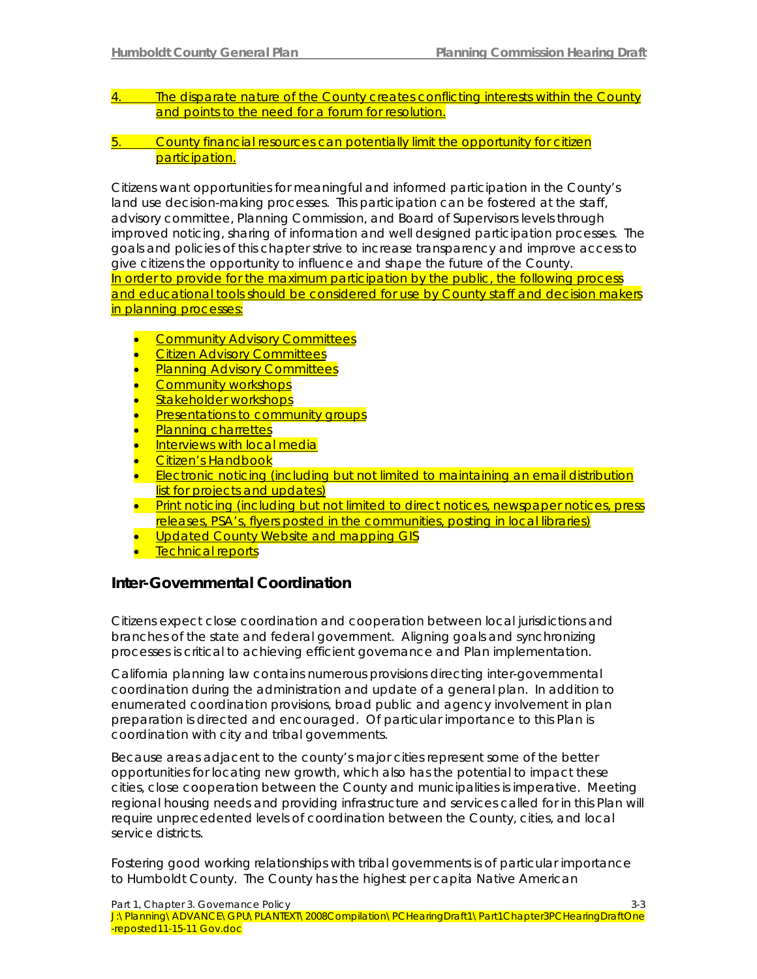- 4. The disparate nature of the County creates conflicting interests within the County and points to the need for a forum for resolution.
- 5. County financial resources can potentially limit the opportunity for citizen participation.

Citizens want opportunities for meaningful and informed participation in the County's land use decision-making processes. This participation can be fostered at the staff, advisory committee, Planning Commission, and Board of Supervisors levels through improved noticing, sharing of information and well designed participation processes. The goals and policies of this chapter strive to increase transparency and improve access to give citizens the opportunity to influence and shape the future of the County. In order to provide for the maximum participation by the public, the following process and educational tools should be considered for use by County staff and decision makers in planning processes:

- **Community Advisory Committees**
- **Citizen Advisory Committees**
- Planning Advisory Committees
- Community workshops
- Stakeholder workshops
- Presentations to community groups
- Planning charrettes
- Interviews with local media
- Citizen's Handbook
- Electronic noticing (including but not limited to maintaining an email distribution list for projects and updates)
- Print noticing (including but not limited to direct notices, newspaper notices, press releases, PSA's, flyers posted in the communities, posting in local libraries)
- Updated County Website and mapping GIS
- Technical reports

### **Inter-Governmental Coordination**

Citizens expect close coordination and cooperation between local jurisdictions and branches of the state and federal government. Aligning goals and synchronizing processes is critical to achieving efficient governance and Plan implementation.

California planning law contains numerous provisions directing inter-governmental coordination during the administration and update of a general plan. In addition to enumerated coordination provisions, broad public and agency involvement in plan preparation is directed and encouraged. Of particular importance to this Plan is coordination with city and tribal governments.

Because areas adjacent to the county's major cities represent some of the better opportunities for locating new growth, which also has the potential to impact these cities, close cooperation between the County and municipalities is imperative. Meeting regional housing needs and providing infrastructure and services called for in this Plan will require unprecedented levels of coordination between the County, cities, and local service districts.

Fostering good working relationships with tribal governments is of particular importance to Humboldt County. The County has the highest per capita Native American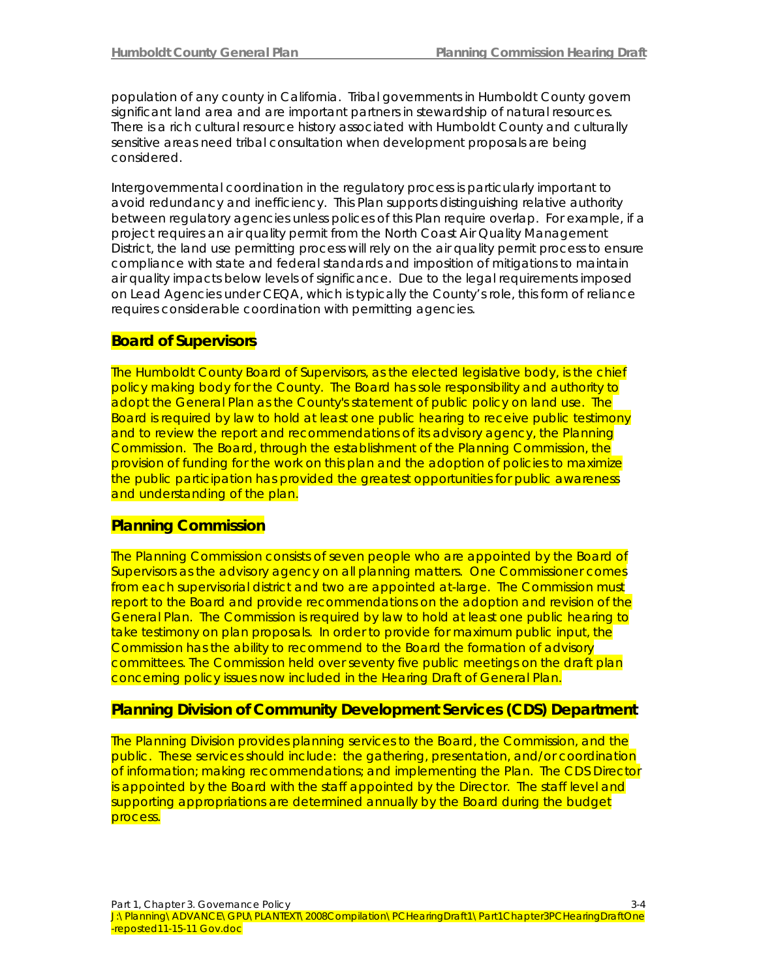population of any county in California. Tribal governments in Humboldt County govern significant land area and are important partners in stewardship of natural resources. There is a rich cultural resource history associated with Humboldt County and culturally sensitive areas need tribal consultation when development proposals are being considered.

Intergovernmental coordination in the regulatory process is particularly important to avoid redundancy and inefficiency. This Plan supports distinguishing relative authority between regulatory agencies unless polices of this Plan require overlap. For example, if a project requires an air quality permit from the North Coast Air Quality Management District, the land use permitting process will rely on the air quality permit process to ensure compliance with state and federal standards and imposition of mitigations to maintain air quality impacts below levels of significance. Due to the legal requirements imposed on Lead Agencies under CEQA, which is typically the County's role, this form of reliance requires considerable coordination with permitting agencies.

### **Board of Supervisors**

The Humboldt County Board of Supervisors, as the elected legislative body, is the chief policy making body for the County. The Board has sole responsibility and authority to adopt the General Plan as the County's statement of public policy on land use. The Board is required by law to hold at least one public hearing to receive public testimony and to review the report and recommendations of its advisory agency, the Planning Commission. The Board, through the establishment of the Planning Commission, the provision of funding for the work on this plan and the adoption of policies to maximize the public participation has provided the greatest opportunities for public awareness and understanding of the plan.

#### **Planning Commission**

The Planning Commission consists of seven people who are appointed by the Board of Supervisors as the advisory agency on all planning matters. One Commissioner comes from each supervisorial district and two are appointed at-large. The Commission must report to the Board and provide recommendations on the adoption and revision of the General Plan. The Commission is required by law to hold at least one public hearing to take testimony on plan proposals. In order to provide for maximum public input, the Commission has the ability to recommend to the Board the formation of advisory committees. The Commission held over seventy five public meetings on the draft plan concerning policy issues now included in the Hearing Draft of General Plan.

### **Planning Division of Community Development Services (CDS) Department**

The Planning Division provides planning services to the Board, the Commission, and the public. These services should include: the gathering, presentation, and/or coordination of information; making recommendations; and implementing the Plan. The CDS Director is appointed by the Board with the staff appointed by the Director. The staff level and supporting appropriations are determined annually by the Board during the budget process.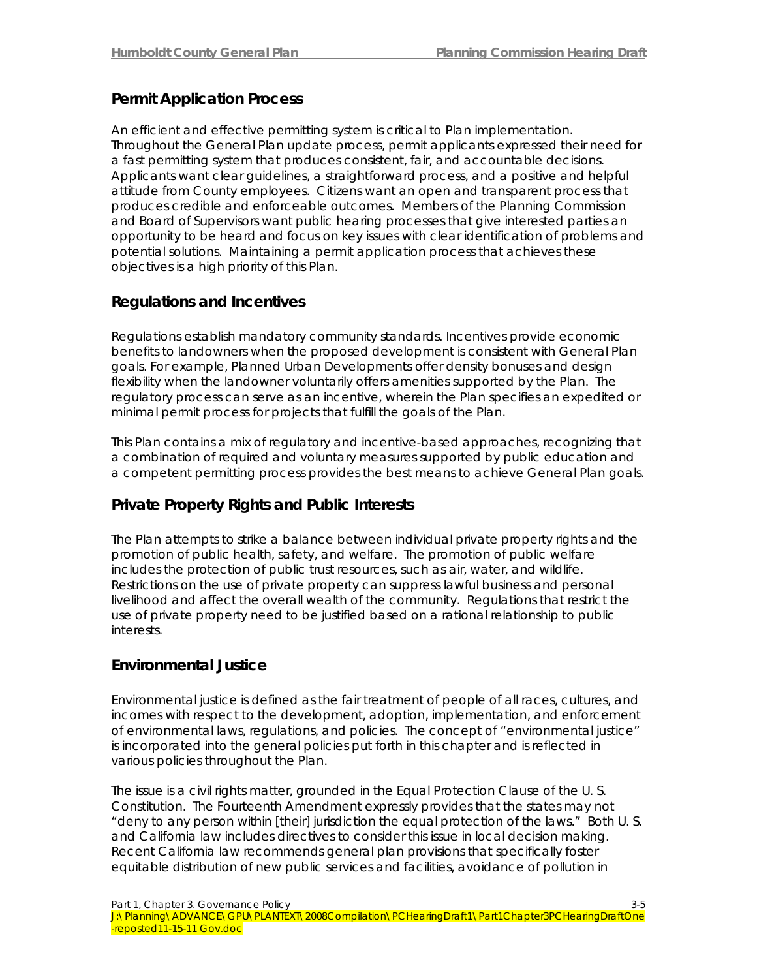## **Permit Application Process**

An efficient and effective permitting system is critical to Plan implementation. Throughout the General Plan update process, permit applicants expressed their need for a fast permitting system that produces consistent, fair, and accountable decisions. Applicants want clear guidelines, a straightforward process, and a positive and helpful attitude from County employees. Citizens want an open and transparent process that produces credible and enforceable outcomes. Members of the Planning Commission and Board of Supervisors want public hearing processes that give interested parties an opportunity to be heard and focus on key issues with clear identification of problems and potential solutions. Maintaining a permit application process that achieves these objectives is a high priority of this Plan.

## **Regulations and Incentives**

Regulations establish mandatory community standards. Incentives provide economic benefits to landowners when the proposed development is consistent with General Plan goals. For example, Planned Urban Developments offer density bonuses and design flexibility when the landowner voluntarily offers amenities supported by the Plan. The regulatory process can serve as an incentive, wherein the Plan specifies an expedited or minimal permit process for projects that fulfill the goals of the Plan.

This Plan contains a mix of regulatory and incentive-based approaches, recognizing that a combination of required and voluntary measures supported by public education and a competent permitting process provides the best means to achieve General Plan goals.

## **Private Property Rights and Public Interests**

The Plan attempts to strike a balance between individual private property rights and the promotion of public health, safety, and welfare. The promotion of public welfare includes the protection of public trust resources, such as air, water, and wildlife. Restrictions on the use of private property can suppress lawful business and personal livelihood and affect the overall wealth of the community. Regulations that restrict the use of private property need to be justified based on a rational relationship to public interests.

## **Environmental Justice**

Environmental justice is defined as the fair treatment of people of all races, cultures, and incomes with respect to the development, adoption, implementation, and enforcement of environmental laws, regulations, and policies. The concept of "environmental justice" is incorporated into the general policies put forth in this chapter and is reflected in various policies throughout the Plan.

The issue is a civil rights matter, grounded in the Equal Protection Clause of the U. S. Constitution. The Fourteenth Amendment expressly provides that the states may not "deny to any person within [their] jurisdiction the equal protection of the laws." Both U. S. and California law includes directives to consider this issue in local decision making. Recent California law recommends general plan provisions that specifically foster equitable distribution of new public services and facilities, avoidance of pollution in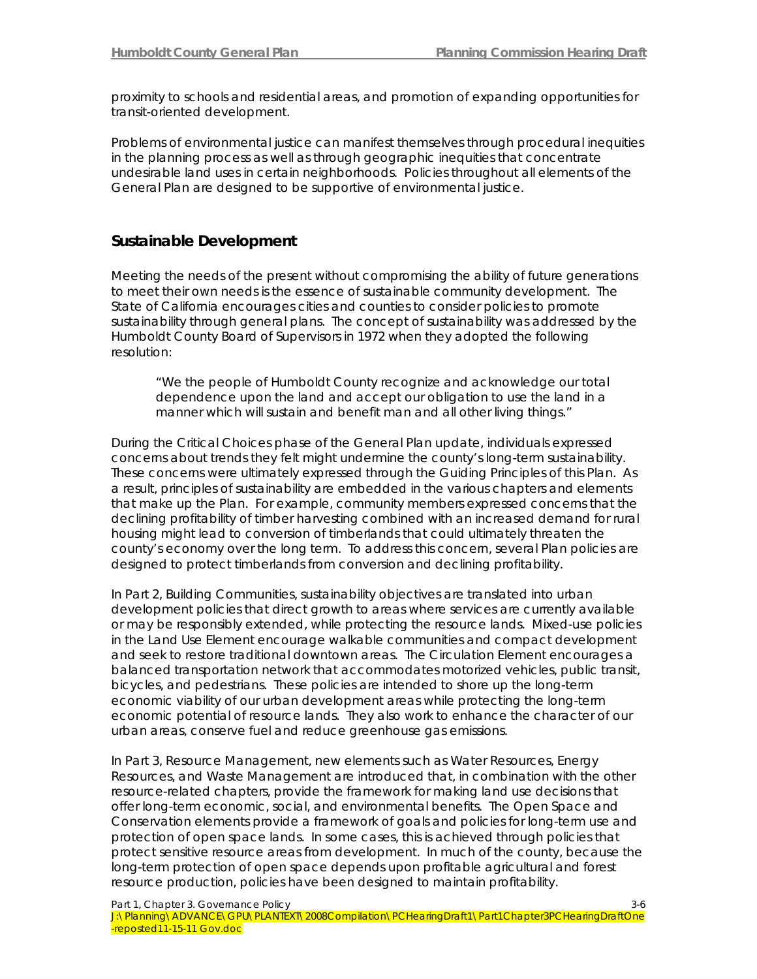proximity to schools and residential areas, and promotion of expanding opportunities for transit-oriented development.

Problems of environmental justice can manifest themselves through procedural inequities in the planning process as well as through geographic inequities that concentrate undesirable land uses in certain neighborhoods. Policies throughout all elements of the General Plan are designed to be supportive of environmental justice.

### **Sustainable Development**

Meeting the needs of the present without compromising the ability of future generations to meet their own needs is the essence of sustainable community development. The State of California encourages cities and counties to consider policies to promote sustainability through general plans. The concept of sustainability was addressed by the Humboldt County Board of Supervisors in 1972 when they adopted the following resolution:

*"We the people of Humboldt County recognize and acknowledge our total dependence upon the land and accept our obligation to use the land in a manner which will sustain and benefit man and all other living things."* 

During the Critical Choices phase of the General Plan update, individuals expressed concerns about trends they felt might undermine the county's long-term sustainability. These concerns were ultimately expressed through the Guiding Principles of this Plan. As a result, principles of sustainability are embedded in the various chapters and elements that make up the Plan. For example, community members expressed concerns that the declining profitability of timber harvesting combined with an increased demand for rural housing might lead to conversion of timberlands that could ultimately threaten the county's economy over the long term. To address this concern, several Plan policies are designed to protect timberlands from conversion and declining profitability.

In Part 2, Building Communities, sustainability objectives are translated into urban development policies that direct growth to areas where services are currently available or may be responsibly extended, while protecting the resource lands. Mixed-use policies in the Land Use Element encourage walkable communities and compact development and seek to restore traditional downtown areas. The Circulation Element encourages a balanced transportation network that accommodates motorized vehicles, public transit, bicycles, and pedestrians. These policies are intended to shore up the long-term economic viability of our urban development areas while protecting the long-term economic potential of resource lands. They also work to enhance the character of our urban areas, conserve fuel and reduce greenhouse gas emissions.

In Part 3, Resource Management, new elements such as Water Resources, Energy Resources, and Waste Management are introduced that, in combination with the other resource-related chapters, provide the framework for making land use decisions that offer long-term economic, social, and environmental benefits. The Open Space and Conservation elements provide a framework of goals and policies for long-term use and protection of open space lands. In some cases, this is achieved through policies that protect sensitive resource areas from development. In much of the county, because the long-term protection of open space depends upon profitable agricultural and forest resource production, policies have been designed to maintain profitability.

Part 1, Chapter 3. Governance Policy 3-6

J:\Planning\ADVANCE\GPU\PLANTEXT\2008Compilation\PCHearingDraft1\Part1Chapter3PCHearingDraftOne -reposted11-15-11 Gov.doc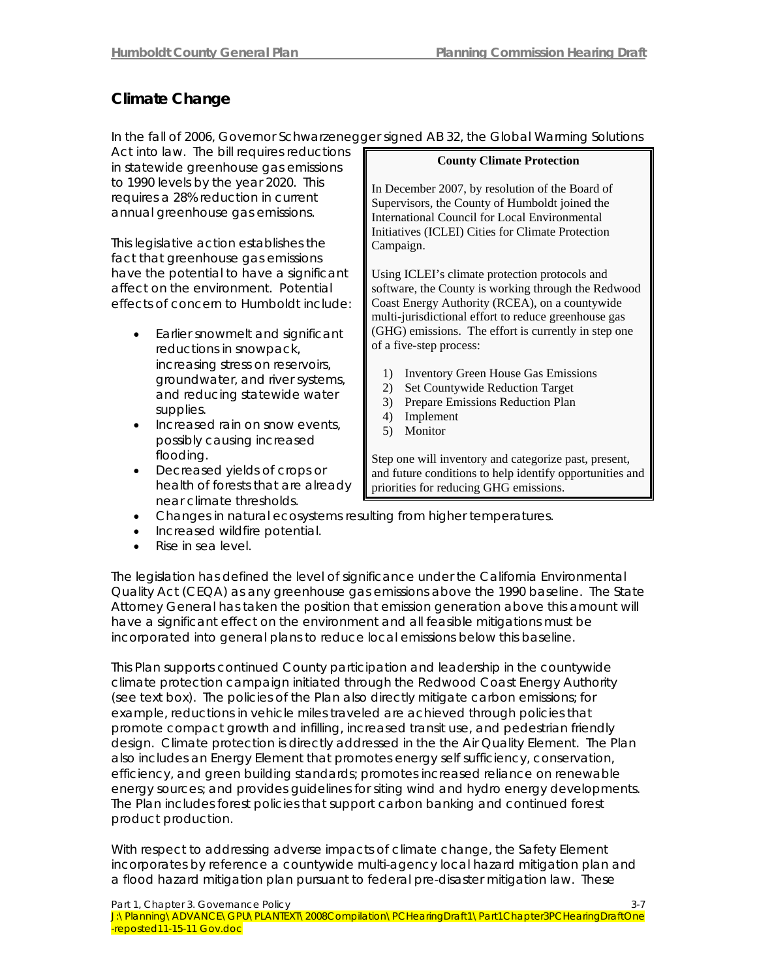## **Climate Change**

| In December 2007, by resolution of the Board of<br>Supervisors, the County of Humboldt joined the<br><b>International Council for Local Environmental</b>                                                       |
|-----------------------------------------------------------------------------------------------------------------------------------------------------------------------------------------------------------------|
| Initiatives (ICLEI) Cities for Climate Protection                                                                                                                                                               |
| Using ICLEI's climate protection protocols and<br>software, the County is working through the Redwood<br>Coast Energy Authority (RCEA), on a countywide<br>multi-jurisdictional effort to reduce greenhouse gas |
| (GHG) emissions. The effort is currently in step one                                                                                                                                                            |
|                                                                                                                                                                                                                 |
| Step one will inventory and categorize past, present,<br>and future conditions to help identify opportunities and                                                                                               |
| <b>Inventory Green House Gas Emissions</b>                                                                                                                                                                      |

In the fall of 2006, Governor Schwarzenegger signed AB 32, the Global Warming Solutions

- Changes in natural ecosystems resulting from higher temperatures.
- Increased wildfire potential.
- Rise in sea level.

The legislation has defined the level of significance under the California Environmental Quality Act (CEQA) as any greenhouse gas emissions above the 1990 baseline. The State Attorney General has taken the position that emission generation above this amount will have a significant effect on the environment and all feasible mitigations must be incorporated into general plans to reduce local emissions below this baseline.

This Plan supports continued County participation and leadership in the countywide climate protection campaign initiated through the Redwood Coast Energy Authority (see text box). The policies of the Plan also directly mitigate carbon emissions; for example, reductions in vehicle miles traveled are achieved through policies that promote compact growth and infilling, increased transit use, and pedestrian friendly design. Climate protection is directly addressed in the the Air Quality Element. The Plan also includes an Energy Element that promotes energy self sufficiency, conservation, efficiency, and green building standards; promotes increased reliance on renewable energy sources; and provides guidelines for siting wind and hydro energy developments. The Plan includes forest policies that support carbon banking and continued forest product production.

With respect to addressing adverse impacts of climate change, the Safety Element incorporates by reference a countywide multi-agency local hazard mitigation plan and a flood hazard mitigation plan pursuant to federal pre-disaster mitigation law. These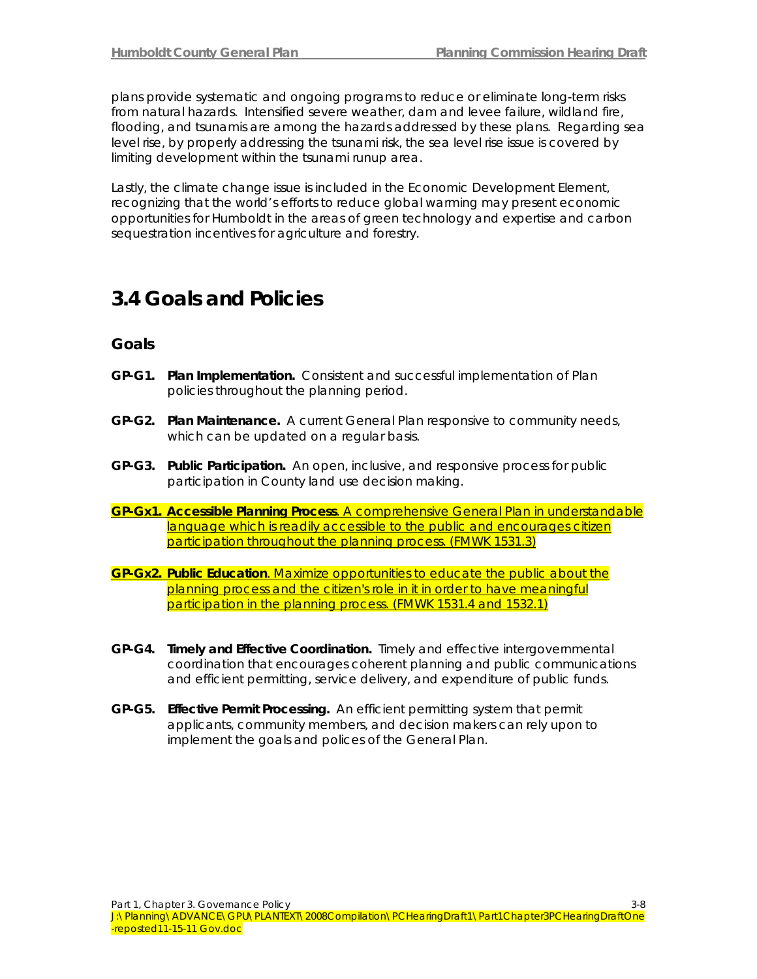plans provide systematic and ongoing programs to reduce or eliminate long-term risks from natural hazards. Intensified severe weather, dam and levee failure, wildland fire, flooding, and tsunamis are among the hazards addressed by these plans. Regarding sea level rise, by properly addressing the tsunami risk, the sea level rise issue is covered by limiting development within the tsunami runup area.

Lastly, the climate change issue is included in the Economic Development Element, recognizing that the world's efforts to reduce global warming may present economic opportunities for Humboldt in the areas of green technology and expertise and carbon sequestration incentives for agriculture and forestry.

## **3.4 Goals and Policies**

#### **Goals**

- **GP-G1. Plan Implementation.** Consistent and successful implementation of Plan policies throughout the planning period.
- **GP-G2. Plan Maintenance.** A current General Plan responsive to community needs, which can be updated on a regular basis.
- **GP-G3. Public Participation.** An open, inclusive, and responsive process for public participation in County land use decision making.
- **GP-Gx1. Accessible Planning Process**. A comprehensive General Plan in understandable language which is readily accessible to the public and encourages citizen participation throughout the planning process. (FMWK 1531.3)
- **GP-Gx2. Public Education**. Maximize opportunities to educate the public about the planning process and the citizen's role in it in order to have meaningful participation in the planning process. (FMWK 1531.4 and 1532.1)
- **GP-G4. Timely and Effective Coordination.** Timely and effective intergovernmental coordination that encourages coherent planning and public communications and efficient permitting, service delivery, and expenditure of public funds.
- **GP-G5. Effective Permit Processing.** An efficient permitting system that permit applicants, community members, and decision makers can rely upon to implement the goals and polices of the General Plan.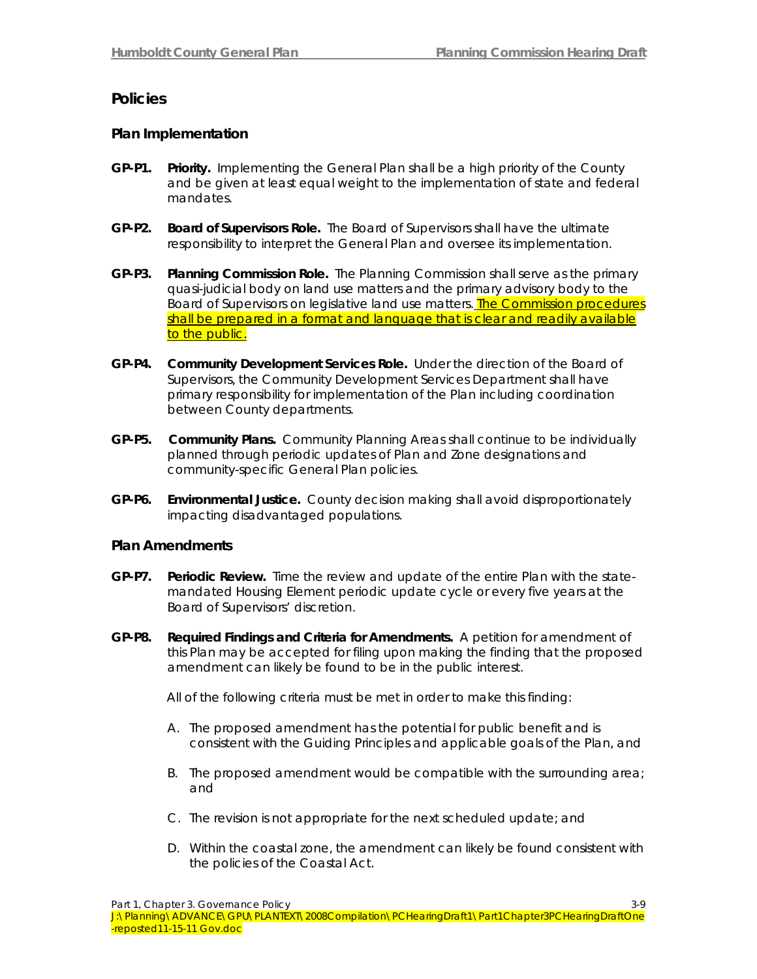### **Policies**

#### **Plan Implementation**

- **GP-P1. Priority.** Implementing the General Plan shall be a high priority of the County and be given at least equal weight to the implementation of state and federal mandates.
- **GP-P2. Board of Supervisors Role.** The Board of Supervisors shall have the ultimate responsibility to interpret the General Plan and oversee its implementation.
- **GP-P3. Planning Commission Role.** The Planning Commission shall serve as the primary quasi-judicial body on land use matters and the primary advisory body to the Board of Supervisors on legislative land use matters. The Commission procedures shall be prepared in a format and language that is clear and readily available to the public.
- **GP-P4. Community Development Services Role.** Under the direction of the Board of Supervisors, the Community Development Services Department shall have primary responsibility for implementation of the Plan including coordination between County departments.
- **GP-P5. Community Plans.** Community Planning Areas shall continue to be individually planned through periodic updates of Plan and Zone designations and community-specific General Plan policies.
- **GP-P6. Environmental Justice.** County decision making shall avoid disproportionately impacting disadvantaged populations.

#### **Plan Amendments**

- **GP-P7. Periodic Review.** Time the review and update of the entire Plan with the statemandated Housing Element periodic update cycle or every five years at the Board of Supervisors' discretion.
- **GP-P8. Required Findings and Criteria for Amendments.** A petition for amendment of this Plan may be accepted for filing upon making the finding that the proposed amendment can likely be found to be in the public interest.

All of the following criteria must be met in order to make this finding:

- A. The proposed amendment has the potential for public benefit and is consistent with the Guiding Principles and applicable goals of the Plan, and
- B. The proposed amendment would be compatible with the surrounding area; and
- C. The revision is not appropriate for the next scheduled update; and
- D. Within the coastal zone, the amendment can likely be found consistent with the policies of the Coastal Act.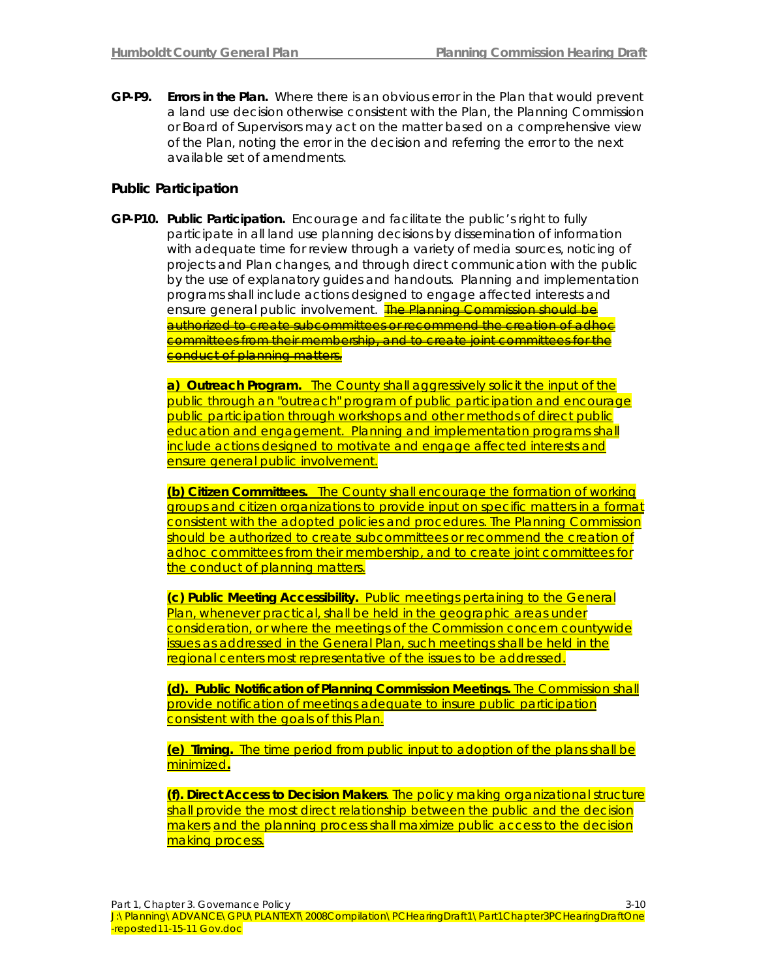**GP-P9. Errors in the Plan.** Where there is an obvious error in the Plan that would prevent a land use decision otherwise consistent with the Plan, the Planning Commission or Board of Supervisors may act on the matter based on a comprehensive view of the Plan, noting the error in the decision and referring the error to the next available set of amendments.

#### **Public Participation**

**GP-P10. Public Participation.** Encourage and facilitate the public's right to fully participate in all land use planning decisions by dissemination of information with adequate time for review through a variety of media sources, noticing of projects and Plan changes, and through direct communication with the public by the use of explanatory guides and handouts. Planning and implementation programs shall include actions designed to engage affected interests and ensure general public involvement. The Planning Commission should be authorized to create subcommittees or recommend the creation of adhoc committees from their membership, and to create joint committees for the conduct of planning matters.

> **a) Outreach Program.** The County shall aggressively solicit the input of the public through an "outreach" program of public participation and encourage public participation through workshops and other methods of direct public education and engagement. Planning and implementation programs shall include actions designed to motivate and engage affected interests and ensure general public involvement.

**(b) Citizen Committees.** The County shall encourage the formation of working groups and citizen organizations to provide input on specific matters in a format consistent with the adopted policies and procedures. The Planning Commission should be authorized to create subcommittees or recommend the creation of adhoc committees from their membership, and to create joint committees for the conduct of planning matters.

**(c) Public Meeting Accessibility.** Public meetings pertaining to the General Plan, whenever practical, shall be held in the geographic areas under consideration, or where the meetings of the Commission concern countywide issues as addressed in the General Plan, such meetings shall be held in the regional centers most representative of the issues to be addressed.

**(d). Public Notification of Planning Commission Meetings.** The Commission shall provide notification of meetings adequate to insure public participation consistent with the goals of this Plan.

**(e) Timing.** The time period from public input to adoption of the plans shall be minimized**.**

**(f). Direct Access to Decision Makers**. The policy making organizational structure shall provide the most direct relationship between the public and the decision makers and the planning process shall maximize public access to the decision making process.

Part 1, Chapter 3. Governance Policy 3-10 J:\Planning\ADVANCE\GPU\PLANTEXT\2008Compilation\PCHearingDraft1\Part1Chapter3PCHearingDraftOne -reposted11-15-11 Gov.doc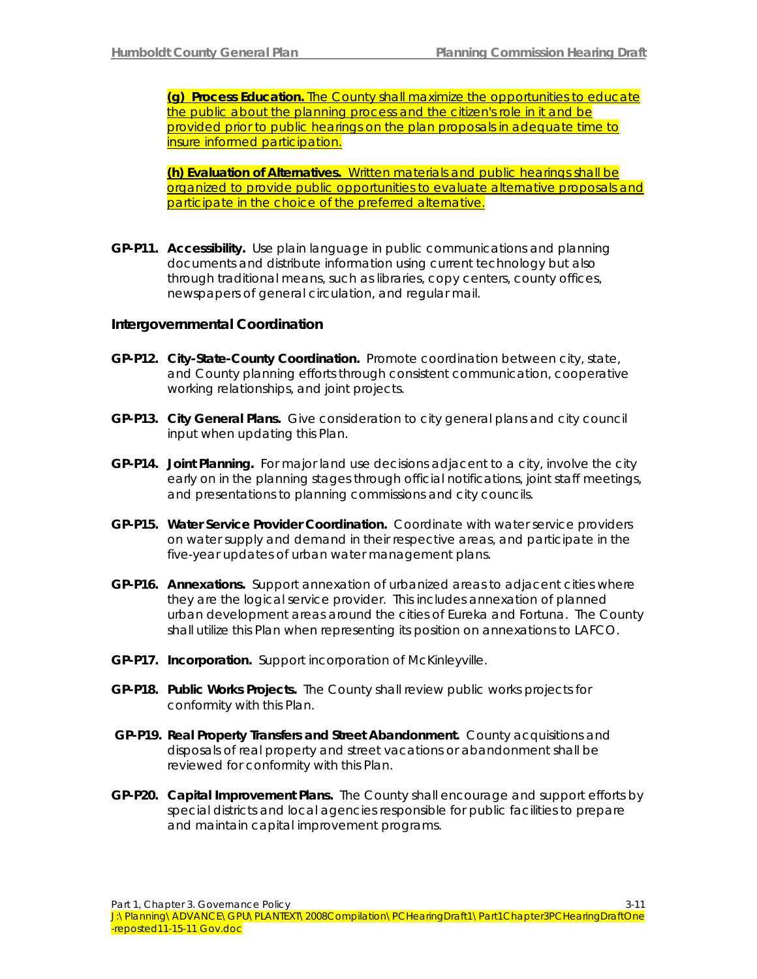**(g) Process Education.** The County shall maximize the opportunities to educate the public about the planning process and the citizen's role in it and be provided prior to public hearings on the plan proposals in adequate time to insure informed participation.

**(h) Evaluation of Alternatives.** Written materials and public hearings shall be organized to provide public opportunities to evaluate alternative proposals and participate in the choice of the preferred alternative.

**GP-P11. Accessibility.** Use plain language in public communications and planning documents and distribute information using current technology but also through traditional means, such as libraries, copy centers, county offices, newspapers of general circulation, and regular mail.

#### **Intergovernmental Coordination**

- **GP-P12. City-State-County Coordination.** Promote coordination between city, state, and County planning efforts through consistent communication, cooperative working relationships, and joint projects.
- **GP-P13. City General Plans.** Give consideration to city general plans and city council input when updating this Plan.
- **GP-P14. Joint Planning.** For major land use decisions adjacent to a city, involve the city early on in the planning stages through official notifications, joint staff meetings, and presentations to planning commissions and city councils.
- **GP-P15. Water Service Provider Coordination.** Coordinate with water service providers on water supply and demand in their respective areas, and participate in the five-year updates of urban water management plans.
- **GP-P16. Annexations.** Support annexation of urbanized areas to adjacent cities where they are the logical service provider.This includes annexation of planned urban development areas around the cities of Eureka and Fortuna. The County shall utilize this Plan when representing its position on annexations to LAFCO.
- **GP-P17. Incorporation.** Support incorporation of McKinleyville.
- **GP-P18. Public Works Projects.** The County shall review public works projects for conformity with this Plan.
- **GP-P19. Real Property Transfers and Street Abandonment.** County acquisitions and disposals of real property and street vacations or abandonment shall be reviewed for conformity with this Plan.
- **GP-P20. Capital Improvement Plans.** The County shall encourage and support efforts by special districts and local agencies responsible for public facilities to prepare and maintain capital improvement programs.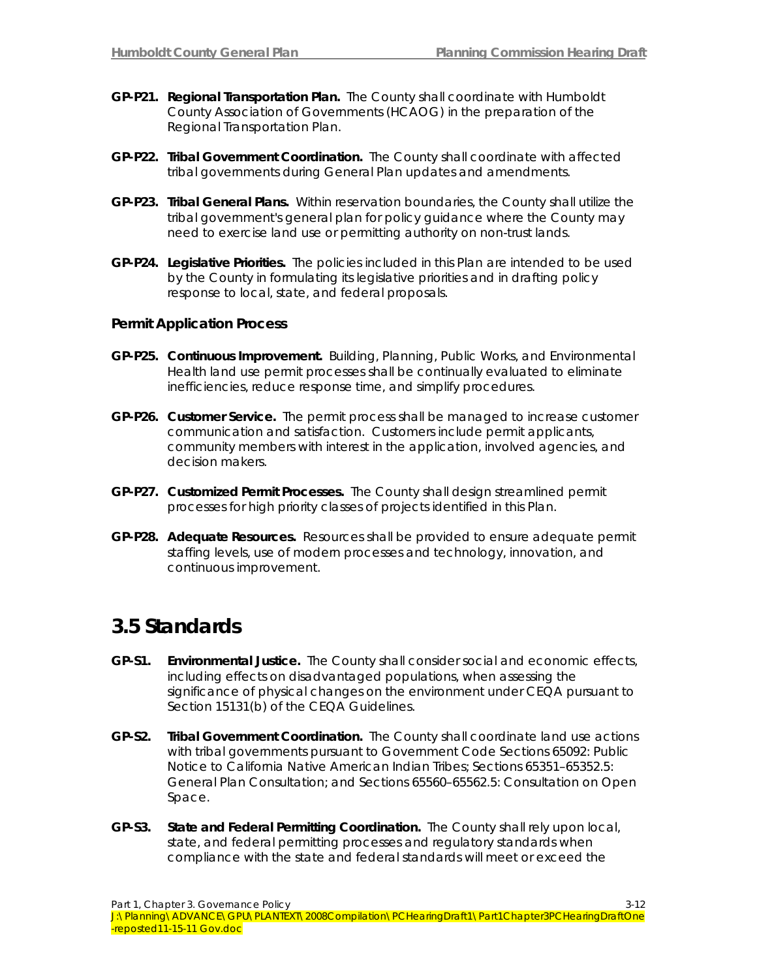- **GP-P21. Regional Transportation Plan.** The County shall coordinate with Humboldt County Association of Governments (HCAOG) in the preparation of the Regional Transportation Plan.
- **GP-P22. Tribal Government Coordination.** The County shall coordinate with affected tribal governments during General Plan updates and amendments.
- **GP-P23. Tribal General Plans.** Within reservation boundaries, the County shall utilize the tribal government's general plan for policy guidance where the County may need to exercise land use or permitting authority on non-trust lands.
- **GP-P24. Legislative Priorities.** The policies included in this Plan are intended to be used by the County in formulating its legislative priorities and in drafting policy response to local, state, and federal proposals.

#### **Permit Application Process**

- **GP-P25. Continuous Improvement.** Building, Planning, Public Works, and Environmental Health land use permit processes shall be continually evaluated to eliminate inefficiencies, reduce response time, and simplify procedures.
- **GP-P26. Customer Service.** The permit process shall be managed to increase customer communication and satisfaction. Customers include permit applicants, community members with interest in the application, involved agencies, and decision makers.
- **GP-P27. Customized Permit Processes.** The County shall design streamlined permit processes for high priority classes of projects identified in this Plan.
- **GP-P28. Adequate Resources.** Resources shall be provided to ensure adequate permit staffing levels, use of modern processes and technology, innovation, and continuous improvement.

## **3.5 Standards**

- **GP-S1. Environmental Justice.** The County shall consider social and economic effects, including effects on disadvantaged populations, when assessing the significance of physical changes on the environment under CEQA pursuant to Section 15131(b) of the CEQA Guidelines.
- **GP-S2. Tribal Government Coordination.** The County shall coordinate land use actions with tribal governments pursuant to Government Code Sections 65092: Public Notice to California Native American Indian Tribes; Sections 65351–65352.5: General Plan Consultation; and Sections 65560–65562.5: Consultation on Open Space.
- **GP-S3. State and Federal Permitting Coordination.** The County shall rely upon local, state, and federal permitting processes and regulatory standards when compliance with the state and federal standards will meet or exceed the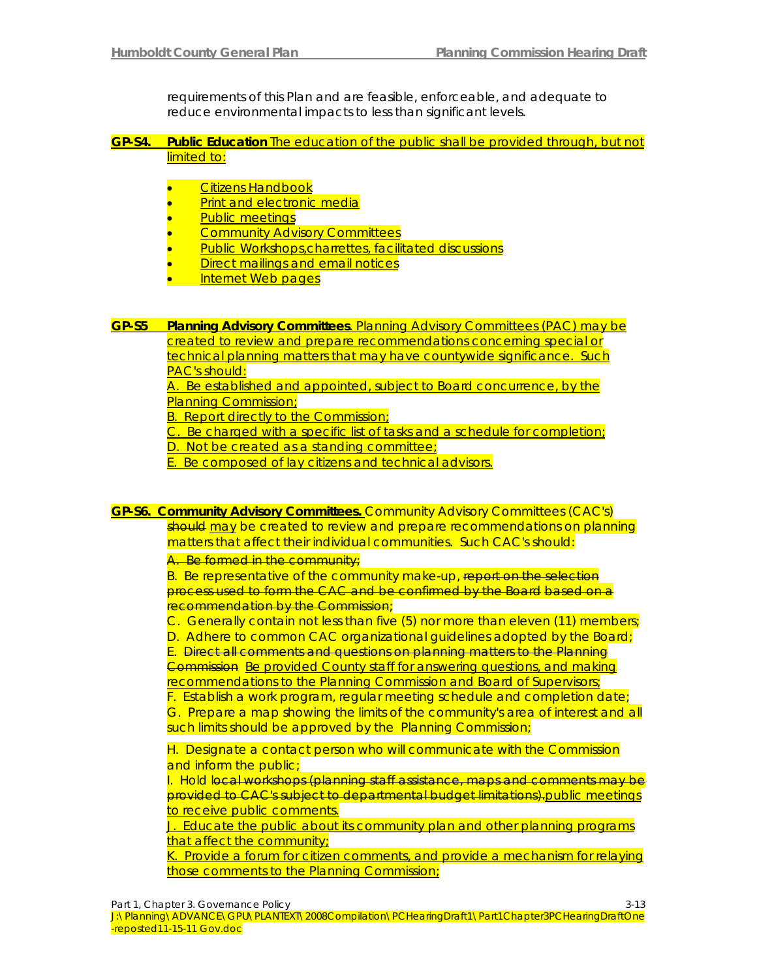requirements of this Plan and are feasible, enforceable, and adequate to reduce environmental impacts to less than significant levels.

**GP-S4. Public Education** The education of the public shall be provided through, but not limited to:

- Citizens Handbook
- **Print and electronic media**
- Public meetings
- Community Advisory Committees
- Public Workshops,charrettes, facilitated discussions
- Direct mailings and email notices
- Internet Web pages

**GP-S5 Planning Advisory Committees**. Planning Advisory Committees (PAC) may be created to review and prepare recommendations concerning special or technical planning matters that may have countywide significance. Such PAC's should:

> A. Be established and appointed, subject to Board concurrence, by the Planning Commission;

**B. Report directly to the Commission:** 

C. Be charged with a specific list of tasks and a schedule for completion;

D. Not be created as a standing committee;

E. Be composed of lay citizens and technical advisors.

**GP-S6. Community Advisory Committees.** Community Advisory Committees (CAC's) should may be created to review and prepare recommendations on planning matters that affect their individual communities. Such CAC's should:

A. Be formed in the community;

B. Be representative of the community make-up, report on the selection process used to form the CAC and be confirmed by the Board based on a recommendation by the Commission;

C. Generally contain not less than five (5) nor more than eleven (11) members;

D. Adhere to common CAC organizational guidelines adopted by the Board;

E. Direct all comments and questions on planning matters to the Planning Commission Be provided County staff for answering questions, and making recommendations to the Planning Commission and Board of Supervisors;

F. Establish a work program, regular meeting schedule and completion date; G. Prepare a map showing the limits of the community's area of interest and all such limits should be approved by the Planning Commission;

H. Designate a contact person who will communicate with the Commission and inform the public;

I. Hold local workshops (planning staff assistance, maps and comments may be provided to CAC's subject to departmental budget limitations).public meetings to receive public comments.

J. Educate the public about its community plan and other planning programs that affect the community;

K. Provide a forum for citizen comments, and provide a mechanism for relaying those comments to the Planning Commission;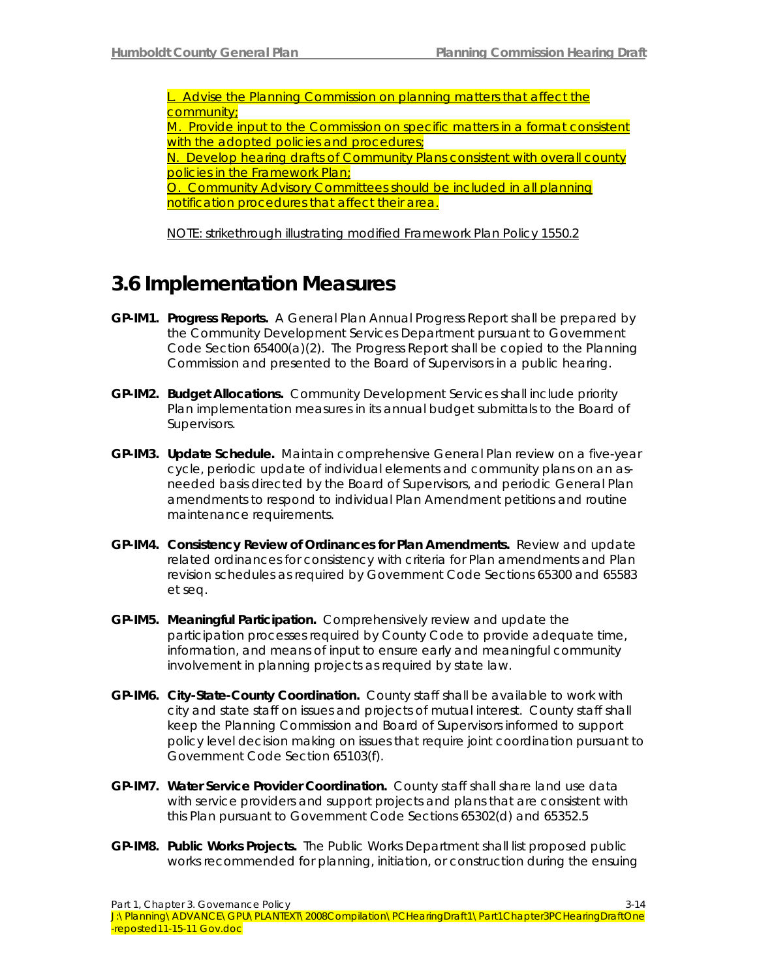L. Advise the Planning Commission on planning matters that affect the community; M. Provide input to the Commission on specific matters in a format consistent with the adopted policies and procedures; N. Develop hearing drafts of Community Plans consistent with overall county policies in the Framework Plan; O. Community Advisory Committees should be included in all planning notification procedures that affect their area.

NOTE: strikethrough illustrating modified Framework Plan Policy 1550.2

## **3.6 Implementation Measures**

- **GP-IM1. Progress Reports.** A General Plan Annual Progress Report shall be prepared by the Community Development Services Department pursuant to Government Code Section 65400(a)(2). The Progress Report shall be copied to the Planning Commission and presented to the Board of Supervisors in a public hearing.
- **GP-IM2. Budget Allocations.** Community Development Services shall include priority Plan implementation measures in its annual budget submittals to the Board of Supervisors.
- **GP-IM3. Update Schedule.** Maintain comprehensive General Plan review on a five-year cycle, periodic update of individual elements and community plans on an asneeded basis directed by the Board of Supervisors, and periodic General Plan amendments to respond to individual Plan Amendment petitions and routine maintenance requirements.
- **GP-IM4. Consistency Review of Ordinances for Plan Amendments.** Review and update related ordinances for consistency with criteria for Plan amendments and Plan revision schedules as required by Government Code Sections 65300 and 65583 et seq.
- **GP-IM5. Meaningful Participation.** Comprehensively review and update the participation processes required by County Code to provide adequate time, information, and means of input to ensure early and meaningful community involvement in planning projects as required by state law.
- **GP-IM6. City-State-County Coordination.** County staff shall be available to work with city and state staff on issues and projects of mutual interest. County staff shall keep the Planning Commission and Board of Supervisors informed to support policy level decision making on issues that require joint coordination pursuant to Government Code Section 65103(f).
- **GP-IM7. Water Service Provider Coordination.** County staff shall share land use data with service providers and support projects and plans that are consistent with this Plan pursuant to Government Code Sections 65302(d) and 65352.5
- **GP-IM8. Public Works Projects.** The Public Works Department shall list proposed public works recommended for planning, initiation, or construction during the ensuing

Part 1, Chapter 3. Governance Policy 3-14 J:\Planning\ADVANCE\GPU\PLANTEXT\2008Compilation\PCHearingDraft1\Part1Chapter3PCHearingDraftOne -reposted11-15-11 Gov.doc